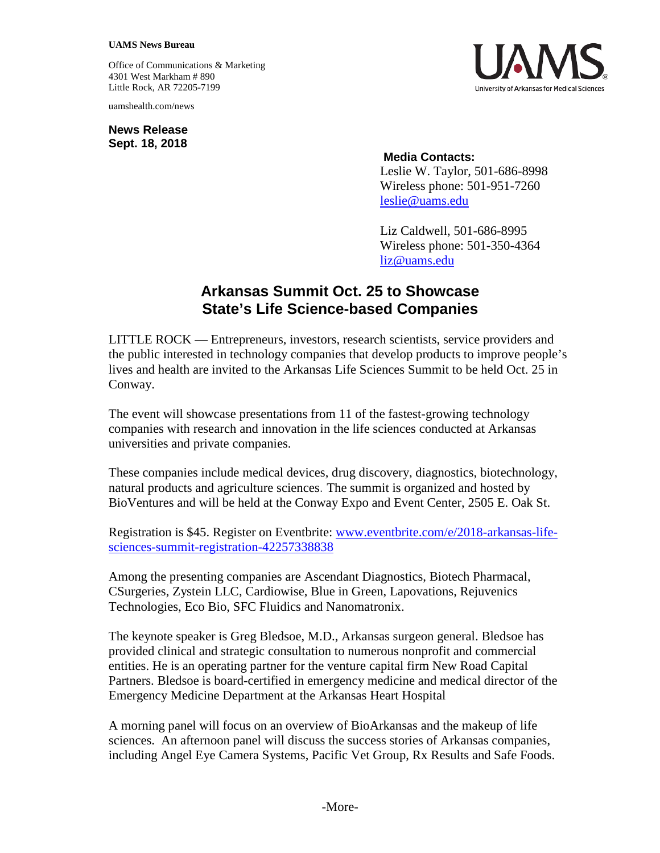## **UAMS News Bureau**

Office of Communications & Marketing 4301 West Markham # 890 Little Rock, AR 72205-7199

uamshealth.com/news

**News Release Sept. 18, 2018**



## **Media Contacts:**

Leslie W. Taylor, 501-686-8998 Wireless phone: 501-951-7260 [leslie@uams.edu](mailto:leslie@uams.edu)

Liz Caldwell, 501-686-8995 Wireless phone: 501-350-4364 [liz@uams.edu](mailto:liz@uams.edu)

## **Arkansas Summit Oct. 25 to Showcase State's Life Science-based Companies**

LITTLE ROCK — Entrepreneurs, investors, research scientists, service providers and the public interested in technology companies that develop products to improve people's lives and health are invited to the Arkansas Life Sciences Summit to be held Oct. 25 in Conway.

The event will showcase presentations from 11 of the fastest-growing technology companies with research and innovation in the life sciences conducted at Arkansas universities and private companies.

These companies include medical devices, drug discovery, diagnostics, biotechnology, natural products and agriculture sciences. The summit is organized and hosted by BioVentures and will be held at the Conway Expo and Event Center, 2505 E. Oak St.

Registration is \$45. Register on Eventbrite: [www.eventbrite.com/e/2018-arkansas-life](https://www.eventbrite.com/e/2018-arkansas-life-sciences-summit-registration-42257338838)[sciences-summit-registration-42257338838](https://www.eventbrite.com/e/2018-arkansas-life-sciences-summit-registration-42257338838)

Among the presenting companies are Ascendant Diagnostics, Biotech Pharmacal, CSurgeries, Zystein LLC, Cardiowise, Blue in Green, Lapovations, Rejuvenics Technologies, Eco Bio, SFC Fluidics and Nanomatronix.

The keynote speaker is Greg Bledsoe, M.D., Arkansas surgeon general. Bledsoe has provided clinical and strategic consultation to numerous nonprofit and commercial entities. He is an operating partner for the venture capital firm New Road Capital Partners. Bledsoe is board-certified in emergency medicine and medical director of the Emergency Medicine Department at the Arkansas Heart Hospital

A morning panel will focus on an overview of BioArkansas and the makeup of life sciences. An afternoon panel will discuss the success stories of Arkansas companies, including Angel Eye Camera Systems, Pacific Vet Group, Rx Results and Safe Foods.